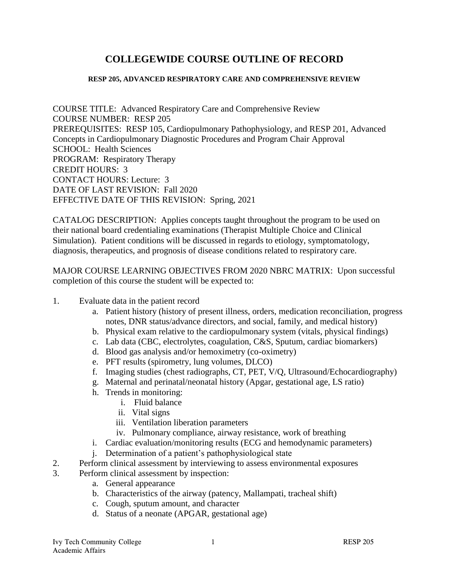# **COLLEGEWIDE COURSE OUTLINE OF RECORD**

#### **RESP 205, ADVANCED RESPIRATORY CARE AND COMPREHENSIVE REVIEW**

COURSE TITLE: Advanced Respiratory Care and Comprehensive Review COURSE NUMBER: RESP 205 PREREQUISITES: RESP 105, Cardiopulmonary Pathophysiology, and RESP 201, Advanced Concepts in Cardiopulmonary Diagnostic Procedures and Program Chair Approval SCHOOL: Health Sciences PROGRAM: Respiratory Therapy CREDIT HOURS: 3 CONTACT HOURS: Lecture: 3 DATE OF LAST REVISION: Fall 2020 EFFECTIVE DATE OF THIS REVISION: Spring, 2021

CATALOG DESCRIPTION: Applies concepts taught throughout the program to be used on their national board credentialing examinations (Therapist Multiple Choice and Clinical Simulation). Patient conditions will be discussed in regards to etiology, symptomatology, diagnosis, therapeutics, and prognosis of disease conditions related to respiratory care.

MAJOR COURSE LEARNING OBJECTIVES FROM 2020 NBRC MATRIX: Upon successful completion of this course the student will be expected to:

- 1. Evaluate data in the patient record
	- a. Patient history (history of present illness, orders, medication reconciliation, progress notes, DNR status/advance directors, and social, family, and medical history)
	- b. Physical exam relative to the cardiopulmonary system (vitals, physical findings)
	- c. Lab data (CBC, electrolytes, coagulation, C&S, Sputum, cardiac biomarkers)
	- d. Blood gas analysis and/or hemoximetry (co-oximetry)
	- e. PFT results (spirometry, lung volumes, DLCO)
	- f. Imaging studies (chest radiographs, CT, PET, V/Q, Ultrasound/Echocardiography)
	- g. Maternal and perinatal/neonatal history (Apgar, gestational age, LS ratio)
	- h. Trends in monitoring:
		- i. Fluid balance
		- ii. Vital signs
		- iii. Ventilation liberation parameters
		- iv. Pulmonary compliance, airway resistance, work of breathing
	- i. Cardiac evaluation/monitoring results (ECG and hemodynamic parameters)
	- j. Determination of a patient's pathophysiological state
- 2. Perform clinical assessment by interviewing to assess environmental exposures
- 3. Perform clinical assessment by inspection:
	- a. General appearance
	- b. Characteristics of the airway (patency, Mallampati, tracheal shift)
	- c. Cough, sputum amount, and character
	- d. Status of a neonate (APGAR, gestational age)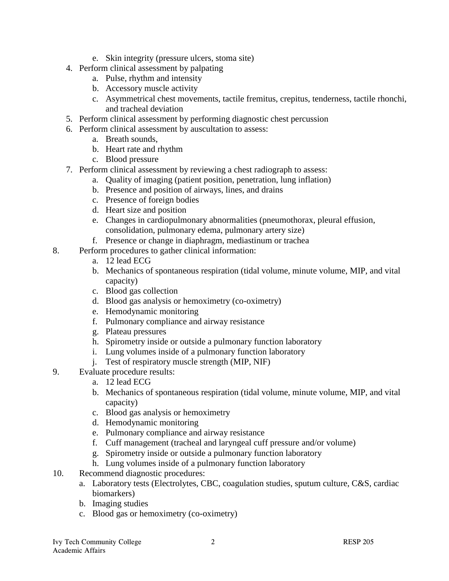- e. Skin integrity (pressure ulcers, stoma site)
- 4. Perform clinical assessment by palpating
	- a. Pulse, rhythm and intensity
	- b. Accessory muscle activity
	- c. Asymmetrical chest movements, tactile fremitus, crepitus, tenderness, tactile rhonchi, and tracheal deviation
- 5. Perform clinical assessment by performing diagnostic chest percussion
- 6. Perform clinical assessment by auscultation to assess:
	- a. Breath sounds,
	- b. Heart rate and rhythm
	- c. Blood pressure
- 7. Perform clinical assessment by reviewing a chest radiograph to assess:
	- a. Quality of imaging (patient position, penetration, lung inflation)
	- b. Presence and position of airways, lines, and drains
	- c. Presence of foreign bodies
	- d. Heart size and position
	- e. Changes in cardiopulmonary abnormalities (pneumothorax, pleural effusion, consolidation, pulmonary edema, pulmonary artery size)
	- f. Presence or change in diaphragm, mediastinum or trachea
- 8. Perform procedures to gather clinical information:
	- a. 12 lead ECG
	- b. Mechanics of spontaneous respiration (tidal volume, minute volume, MIP, and vital capacity)
	- c. Blood gas collection
	- d. Blood gas analysis or hemoximetry (co-oximetry)
	- e. Hemodynamic monitoring
	- f. Pulmonary compliance and airway resistance
	- g. Plateau pressures
	- h. Spirometry inside or outside a pulmonary function laboratory
	- i. Lung volumes inside of a pulmonary function laboratory
	- j. Test of respiratory muscle strength (MIP, NIF)
- 9. Evaluate procedure results:
	- a. 12 lead ECG
	- b. Mechanics of spontaneous respiration (tidal volume, minute volume, MIP, and vital capacity)
	- c. Blood gas analysis or hemoximetry
	- d. Hemodynamic monitoring
	- e. Pulmonary compliance and airway resistance
	- f. Cuff management (tracheal and laryngeal cuff pressure and/or volume)
	- g. Spirometry inside or outside a pulmonary function laboratory
	- h. Lung volumes inside of a pulmonary function laboratory
- 10. Recommend diagnostic procedures:
	- a. Laboratory tests (Electrolytes, CBC, coagulation studies, sputum culture, C&S, cardiac biomarkers)
	- b. Imaging studies
	- c. Blood gas or hemoximetry (co-oximetry)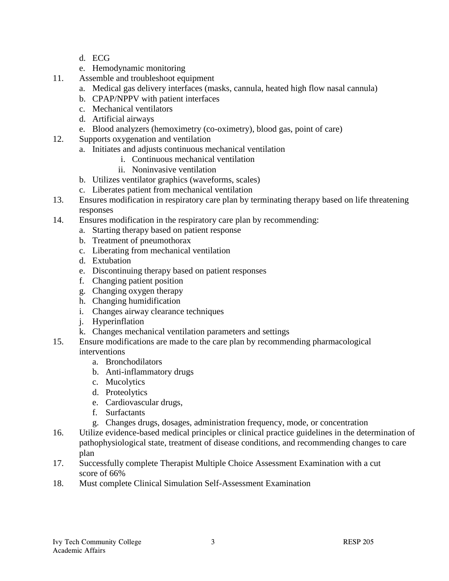- d. ECG
- e. Hemodynamic monitoring
- 11. Assemble and troubleshoot equipment
	- a. Medical gas delivery interfaces (masks, cannula, heated high flow nasal cannula)
	- b. CPAP/NPPV with patient interfaces
	- c. Mechanical ventilators
	- d. Artificial airways
	- e. Blood analyzers (hemoximetry (co-oximetry), blood gas, point of care)
- 12. Supports oxygenation and ventilation
	- a. Initiates and adjusts continuous mechanical ventilation
		- i. Continuous mechanical ventilation
		- ii. Noninvasive ventilation
	- b. Utilizes ventilator graphics (waveforms, scales)
	- c. Liberates patient from mechanical ventilation
- 13. Ensures modification in respiratory care plan by terminating therapy based on life threatening responses
- 14. Ensures modification in the respiratory care plan by recommending:
	- a. Starting therapy based on patient response
	- b. Treatment of pneumothorax
	- c. Liberating from mechanical ventilation
	- d. Extubation
	- e. Discontinuing therapy based on patient responses
	- f. Changing patient position
	- g. Changing oxygen therapy
	- h. Changing humidification
	- i. Changes airway clearance techniques
	- j. Hyperinflation
	- k. Changes mechanical ventilation parameters and settings
- 15. Ensure modifications are made to the care plan by recommending pharmacological interventions
	- a. Bronchodilators
	- b. Anti-inflammatory drugs
	- c. Mucolytics
	- d. Proteolytics
	- e. Cardiovascular drugs,
	- f. Surfactants
	- g. Changes drugs, dosages, administration frequency, mode, or concentration
- 16. Utilize evidence-based medical principles or clinical practice guidelines in the determination of pathophysiological state, treatment of disease conditions, and recommending changes to care plan
- 17. Successfully complete Therapist Multiple Choice Assessment Examination with a cut score of 66%
- 18. Must complete Clinical Simulation Self-Assessment Examination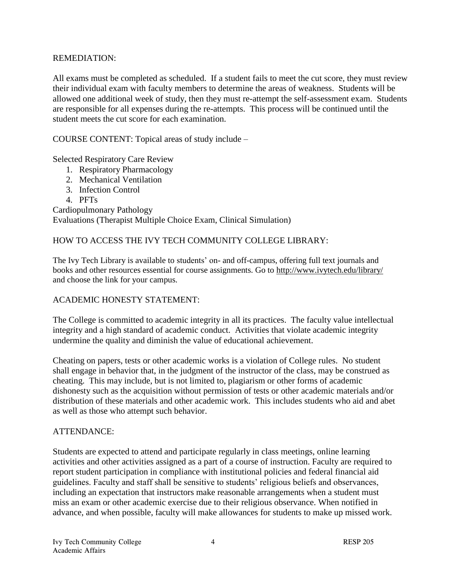## REMEDIATION:

All exams must be completed as scheduled. If a student fails to meet the cut score, they must review their individual exam with faculty members to determine the areas of weakness. Students will be allowed one additional week of study, then they must re-attempt the self-assessment exam. Students are responsible for all expenses during the re-attempts. This process will be continued until the student meets the cut score for each examination.

COURSE CONTENT: Topical areas of study include –

Selected Respiratory Care Review

- 1. Respiratory Pharmacology
- 2. Mechanical Ventilation
- 3. Infection Control
- 4. PFTs

Cardiopulmonary Pathology Evaluations (Therapist Multiple Choice Exam, Clinical Simulation)

# HOW TO ACCESS THE IVY TECH COMMUNITY COLLEGE LIBRARY:

The Ivy Tech Library is available to students' on- and off-campus, offering full text journals and books and other resources essential for course assignments. Go to<http://www.ivytech.edu/library/> and choose the link for your campus.

#### ACADEMIC HONESTY STATEMENT:

The College is committed to academic integrity in all its practices. The faculty value intellectual integrity and a high standard of academic conduct. Activities that violate academic integrity undermine the quality and diminish the value of educational achievement.

Cheating on papers, tests or other academic works is a violation of College rules. No student shall engage in behavior that, in the judgment of the instructor of the class, may be construed as cheating. This may include, but is not limited to, plagiarism or other forms of academic dishonesty such as the acquisition without permission of tests or other academic materials and/or distribution of these materials and other academic work. This includes students who aid and abet as well as those who attempt such behavior.

#### ATTENDANCE:

Students are expected to attend and participate regularly in class meetings, online learning activities and other activities assigned as a part of a course of instruction. Faculty are required to report student participation in compliance with institutional policies and federal financial aid guidelines. Faculty and staff shall be sensitive to students' religious beliefs and observances, including an expectation that instructors make reasonable arrangements when a student must miss an exam or other academic exercise due to their religious observance. When notified in advance, and when possible, faculty will make allowances for students to make up missed work.